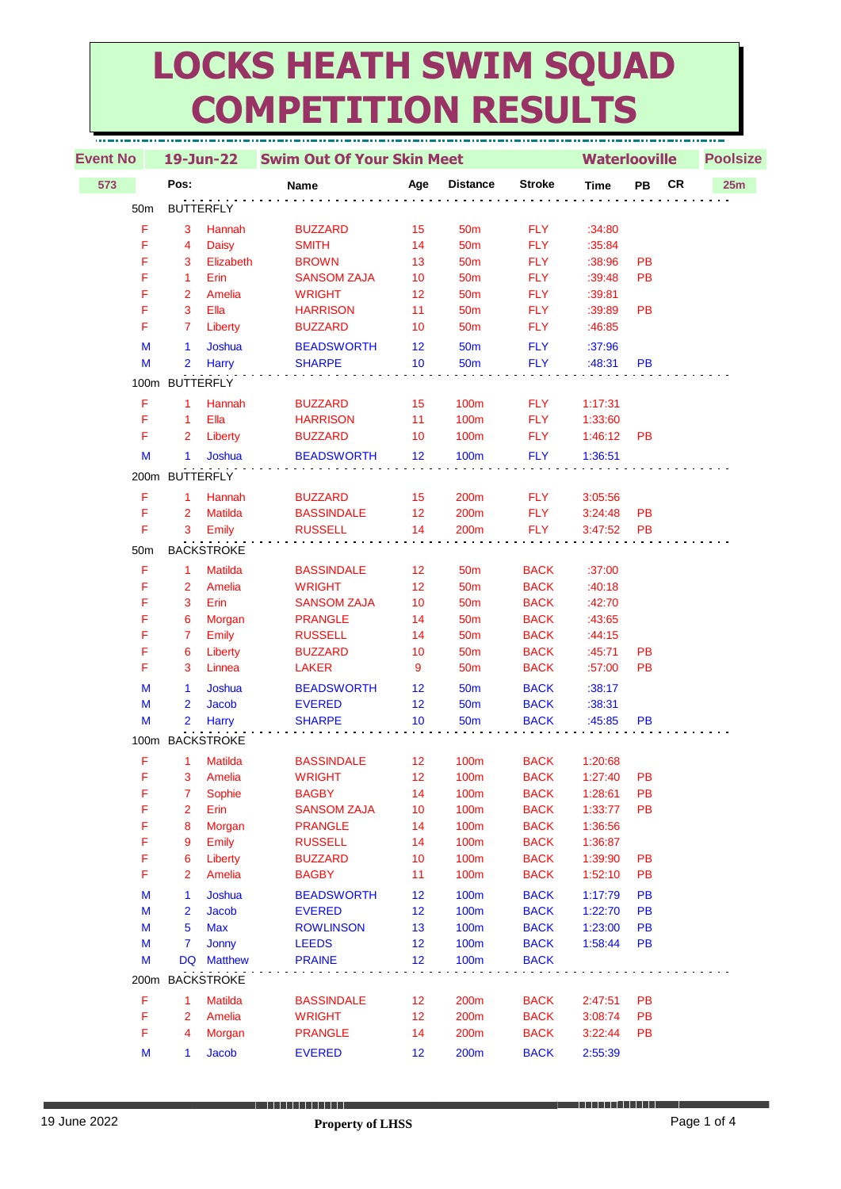## **LOCKS HEATH SWIM SQUAD COMPETITION RESULTS**

| <b>Event No</b> |                 | 19-Jun-22            |                   | <b>Swim Out Of Your Skin Meet</b>  |          |                     |                            |                    | <b>Waterlooville</b> |    |     | <b>Poolsize</b> |
|-----------------|-----------------|----------------------|-------------------|------------------------------------|----------|---------------------|----------------------------|--------------------|----------------------|----|-----|-----------------|
| 573             |                 | Pos:                 |                   | Name                               | Age      | <b>Distance</b>     | <b>Stroke</b>              | <b>Time</b>        | PB                   | CR | 25m |                 |
|                 | 50 <sub>m</sub> | <b>BUTTERFLY</b>     |                   |                                    |          |                     |                            |                    |                      |    |     |                 |
|                 | F               | 3                    | Hannah            | <b>BUZZARD</b>                     | 15       | <b>50m</b>          | <b>FLY</b>                 | :34:80             |                      |    |     |                 |
|                 | F               | 4                    | <b>Daisy</b>      | <b>SMITH</b>                       | 14       | 50 <sub>m</sub>     | <b>FLY</b>                 | :35:84             |                      |    |     |                 |
|                 | F               | 3                    | Elizabeth         | <b>BROWN</b>                       | 13       | <b>50m</b>          | <b>FLY</b>                 | :38:96             | PB                   |    |     |                 |
|                 | F               | $\mathbf{1}$         | Erin              | <b>SANSOM ZAJA</b>                 | 10       | 50 <sub>m</sub>     | <b>FLY</b>                 | :39:48             | <b>PB</b>            |    |     |                 |
|                 | F               | $\overline{2}$       | Amelia            | <b>WRIGHT</b>                      | 12       | 50 <sub>m</sub>     | <b>FLY</b>                 | :39:81             |                      |    |     |                 |
|                 | F               | 3                    | Ella              | <b>HARRISON</b>                    | 11       | 50 <sub>m</sub>     | <b>FLY</b>                 | :39:89             | <b>PB</b>            |    |     |                 |
|                 | F               | 7                    | Liberty           | <b>BUZZARD</b>                     | 10       | <b>50m</b>          | <b>FLY</b>                 | :46:85             |                      |    |     |                 |
|                 | M               | $\mathbf{1}$         | Joshua            | <b>BEADSWORTH</b>                  | 12       | <b>50m</b>          | <b>FLY</b>                 | :37:96             |                      |    |     |                 |
|                 | M               | 2                    | <b>Harry</b>      | <b>SHARPE</b>                      | 10       | 50 <sub>m</sub>     | <b>FLY</b>                 | :48:31             | PB                   |    |     |                 |
|                 |                 | 100m BUTTERFLY       |                   |                                    |          |                     |                            |                    |                      |    |     |                 |
|                 | F               | $\mathbf{1}$         | Hannah            | <b>BUZZARD</b>                     | 15       | 100m                | <b>FLY</b>                 | 1:17:31            |                      |    |     |                 |
|                 | F               | $\mathbf{1}$         | Ella              | <b>HARRISON</b>                    | 11       | 100m                | <b>FLY</b>                 | 1:33:60            |                      |    |     |                 |
|                 | F               | $\overline{2}$       | Liberty           | <b>BUZZARD</b>                     | 10       | 100m                | <b>FLY</b>                 | 1:46:12            | PB                   |    |     |                 |
|                 | M               | $\mathbf{1}$         | Joshua            | <b>BEADSWORTH</b>                  | 12       | 100m                | <b>FLY</b>                 | 1:36:51            |                      |    |     |                 |
|                 |                 | 200m BUTTERFLY       |                   |                                    |          |                     |                            |                    |                      |    |     |                 |
|                 | F               | $\blacktriangleleft$ | Hannah            | <b>BUZZARD</b>                     | 15       | 200m                | <b>FLY</b>                 | 3:05:56            |                      |    |     |                 |
|                 | F               | $\overline{2}$       | <b>Matilda</b>    | <b>BASSINDALE</b>                  | 12       | 200m                | <b>FLY</b>                 | 3:24:48            | PB                   |    |     |                 |
|                 | F               | 3                    | Emily             | <b>RUSSELL</b>                     | 14       | 200m                | <b>FLY</b>                 | 3:47:52            | PB                   |    |     |                 |
|                 | 50 <sub>m</sub> |                      | <b>BACKSTROKE</b> |                                    |          |                     |                            |                    |                      |    |     |                 |
|                 | F               | $\mathbf{1}$         | <b>Matilda</b>    | <b>BASSINDALE</b>                  | 12       | <b>50m</b>          | <b>BACK</b>                | :37:00             |                      |    |     |                 |
|                 | F               | $\overline{2}$       | Amelia            | <b>WRIGHT</b>                      | 12       | <b>50m</b>          | <b>BACK</b>                | :40:18             |                      |    |     |                 |
|                 | F               | 3                    | Erin              | <b>SANSOM ZAJA</b>                 | 10       | 50 <sub>m</sub>     | <b>BACK</b>                | :42:70             |                      |    |     |                 |
|                 | F               | 6                    | Morgan            | <b>PRANGLE</b>                     | 14       | 50 <sub>m</sub>     | <b>BACK</b>                | :43:65             |                      |    |     |                 |
|                 | F               | $\overline{7}$       | Emily             | <b>RUSSELL</b>                     | 14       | 50 <sub>m</sub>     | <b>BACK</b>                | :44:15             |                      |    |     |                 |
|                 | F               | 6                    | Liberty           | <b>BUZZARD</b>                     | 10       | 50 <sub>m</sub>     | <b>BACK</b>                | :45:71             | PB                   |    |     |                 |
|                 | F               | 3                    | Linnea            | <b>LAKER</b>                       | 9        | 50 <sub>m</sub>     | <b>BACK</b>                | :57:00             | <b>PB</b>            |    |     |                 |
|                 | M               | 1                    | Joshua            | <b>BEADSWORTH</b>                  | 12       | <b>50m</b>          | <b>BACK</b>                | :38:17             |                      |    |     |                 |
|                 | M               | $\overline{2}$       | Jacob             | <b>EVERED</b>                      | 12       | <b>50m</b>          | <b>BACK</b>                | :38:31             |                      |    |     |                 |
|                 | M               | $\overline{2}$       | <b>Harry</b>      | <b>SHARPE</b>                      | 10       | 50 <sub>m</sub>     | <b>BACK</b>                | :45:85             | PВ                   |    |     |                 |
|                 |                 | 100m BACKSTROKE      |                   |                                    |          |                     |                            |                    |                      |    |     |                 |
|                 | F               | $\mathbf{1}$         | <b>Matilda</b>    | <b>BASSINDALE</b>                  | 12       | 100m                | <b>BACK</b>                | 1:20:68            |                      |    |     |                 |
|                 | F               | 3                    | Amelia            | <b>WRIGHT</b>                      | 12       | 100m                | <b>BACK</b>                | 1:27:40            | РB                   |    |     |                 |
|                 | F               | 7                    | Sophie            | <b>BAGBY</b>                       | 14       | 100m                | <b>BACK</b>                | 1:28:61            | PB                   |    |     |                 |
|                 | F               | 2                    | Erin              | <b>SANSOM ZAJA</b>                 | 10       | 100m                | <b>BACK</b>                | 1:33:77            | PB                   |    |     |                 |
|                 | F               | 8                    | Morgan            | <b>PRANGLE</b>                     | 14       | 100m                | <b>BACK</b>                | 1:36:56            |                      |    |     |                 |
|                 | F<br>F          | 9                    | Emily<br>Liberty  | <b>RUSSELL</b><br><b>BUZZARD</b>   | 14<br>10 | 100m                | <b>BACK</b>                | 1:36:87            | PB                   |    |     |                 |
|                 | F               | 6<br>2               | Amelia            | <b>BAGBY</b>                       | 11       | 100m<br>100m        | <b>BACK</b><br><b>BACK</b> | 1:39:90<br>1:52:10 | PB                   |    |     |                 |
|                 |                 |                      |                   |                                    |          |                     | <b>BACK</b>                |                    |                      |    |     |                 |
|                 | M<br>M          | 1<br>2               | Joshua<br>Jacob   | <b>BEADSWORTH</b><br><b>EVERED</b> | 12<br>12 | <b>100m</b><br>100m | <b>BACK</b>                | 1:17:79<br>1:22:70 | PB<br>PB             |    |     |                 |
|                 | M               | 5                    | <b>Max</b>        | <b>ROWLINSON</b>                   | 13       | 100m                | <b>BACK</b>                | 1:23:00            | PB                   |    |     |                 |
|                 | M               | 7                    | <b>Jonny</b>      | <b>LEEDS</b>                       | 12       | <b>100m</b>         | <b>BACK</b>                | 1:58:44            | PB                   |    |     |                 |
|                 | M               |                      | DQ Matthew        | <b>PRAINE</b>                      | 12       | 100m                | <b>BACK</b>                |                    |                      |    |     |                 |
|                 | 200m            |                      | <b>BACKSTROKE</b> |                                    |          |                     |                            |                    |                      |    |     |                 |
|                 | F               | 1                    | Matilda           | <b>BASSINDALE</b>                  | 12       | 200m                | <b>BACK</b>                | 2:47:51            | PB                   |    |     |                 |
|                 | F               | 2                    | Amelia            | <b>WRIGHT</b>                      | 12       | 200m                | <b>BACK</b>                | 3:08:74            | PB                   |    |     |                 |
|                 | F               | 4                    | Morgan            | <b>PRANGLE</b>                     | 14       | 200m                | <b>BACK</b>                | 3:22:44            | PB                   |    |     |                 |
|                 | M               | 1                    | Jacob             | <b>EVERED</b>                      | 12       | 200m                | <b>BACK</b>                | 2:55:39            |                      |    |     |                 |
|                 |                 |                      |                   |                                    |          |                     |                            |                    |                      |    |     |                 |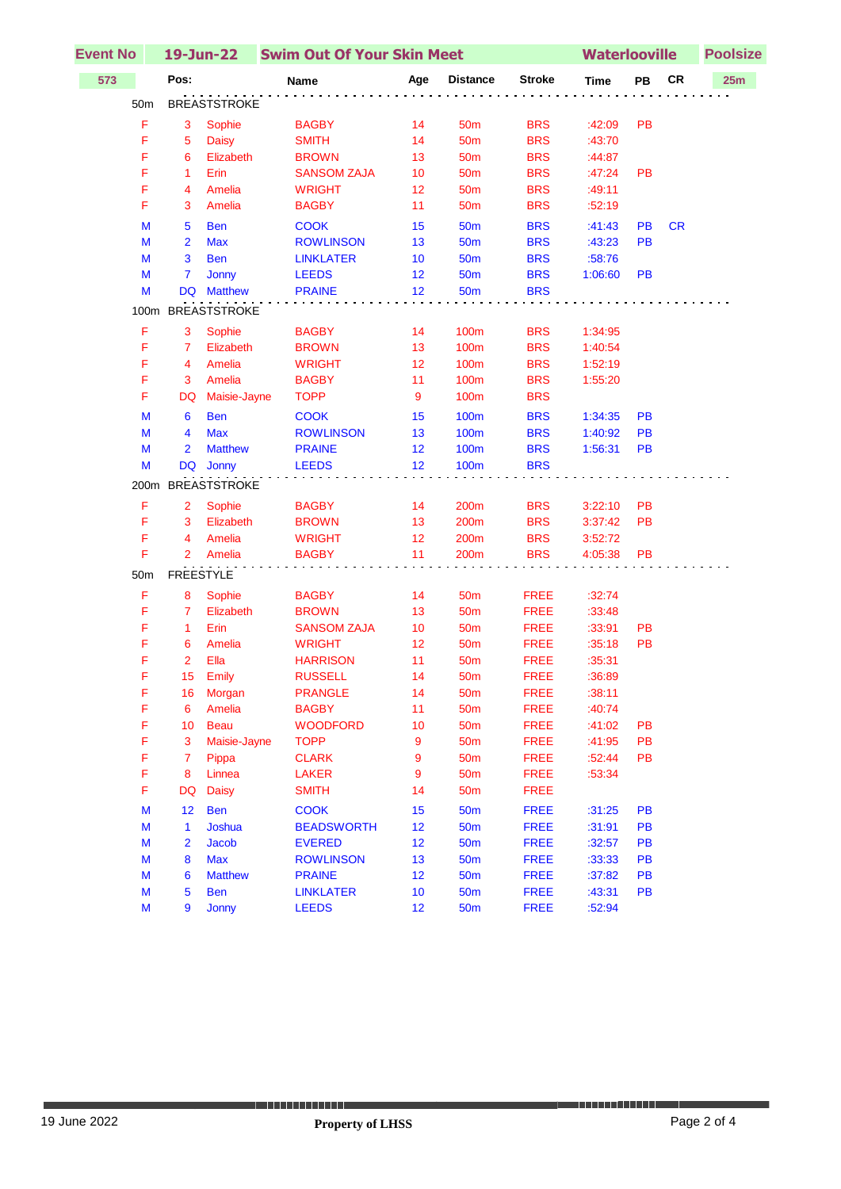| <b>Event No</b> |                         | 19-Jun-22           | <b>Swim Out Of Your Skin Meet</b> |                  |                  |               |             | <b>Waterlooville</b> |            |     |
|-----------------|-------------------------|---------------------|-----------------------------------|------------------|------------------|---------------|-------------|----------------------|------------|-----|
| 573             | Pos:                    |                     | Name                              | Age              | <b>Distance</b>  | <b>Stroke</b> | <b>Time</b> | PB                   | ${\sf CR}$ | 25m |
| 50 <sub>m</sub> |                         | <b>BREASTSTROKE</b> |                                   |                  |                  |               |             |                      |            |     |
| F               | 3                       | Sophie              | <b>BAGBY</b>                      | 14               | 50 <sub>m</sub>  | <b>BRS</b>    | :42:09      | <b>PB</b>            |            |     |
| F               | 5                       | <b>Daisy</b>        | <b>SMITH</b>                      | 14               | 50 <sub>m</sub>  | <b>BRS</b>    | :43:70      |                      |            |     |
| F               | 6                       | Elizabeth           | <b>BROWN</b>                      | 13               | 50 <sub>m</sub>  | <b>BRS</b>    | :44:87      |                      |            |     |
| F               | $\mathbf{1}$            | Erin                | <b>SANSOM ZAJA</b>                | 10               | 50 <sub>m</sub>  | <b>BRS</b>    | :47:24      | <b>PB</b>            |            |     |
| F               | 4                       | Amelia              | <b>WRIGHT</b>                     | 12               | 50 <sub>m</sub>  | <b>BRS</b>    | :49:11      |                      |            |     |
| F               | 3                       | Amelia              | <b>BAGBY</b>                      | 11               | <b>50m</b>       | <b>BRS</b>    | :52:19      |                      |            |     |
| M               | $\overline{5}$          | <b>Ben</b>          | <b>COOK</b>                       | 15               | 50 <sub>m</sub>  | <b>BRS</b>    | :41:43      | PB                   | <b>CR</b>  |     |
| M               | $\overline{2}$          | <b>Max</b>          | <b>ROWLINSON</b>                  | 13               | <b>50m</b>       | <b>BRS</b>    | :43:23      | <b>PB</b>            |            |     |
| M               | 3                       | <b>Ben</b>          | <b>LINKLATER</b>                  | 10               | <b>50m</b>       | <b>BRS</b>    | :58:76      |                      |            |     |
| M               | $\overline{7}$          | Jonny               | <b>LEEDS</b>                      | 12               | <b>50m</b>       | <b>BRS</b>    | 1:06:60     | <b>PB</b>            |            |     |
| M               |                         | DQ Matthew          | <b>PRAINE</b>                     | 12               | <b>50m</b>       | <b>BRS</b>    |             |                      |            |     |
| 100m            |                         | <b>BREASTSTROKE</b> |                                   |                  |                  |               |             |                      |            |     |
| F               | 3                       | Sophie              | <b>BAGBY</b>                      | 14               | 100m             | <b>BRS</b>    | 1:34:95     |                      |            |     |
| F               | $\overline{7}$          | Elizabeth           | <b>BROWN</b>                      | 13               | 100m             | <b>BRS</b>    | 1:40:54     |                      |            |     |
| F               | 4                       | Amelia              | <b>WRIGHT</b>                     | 12 <sub>2</sub>  | 100m             | <b>BRS</b>    | 1:52:19     |                      |            |     |
| F               | 3                       | Amelia              | <b>BAGBY</b>                      | 11               | 100m             | <b>BRS</b>    | 1:55:20     |                      |            |     |
| F               | DQ                      | Maisie-Jayne        | <b>TOPP</b>                       | 9                | 100m             | <b>BRS</b>    |             |                      |            |     |
| M               | 6                       | <b>Ben</b>          | <b>COOK</b>                       | 15               | 100m             | <b>BRS</b>    | 1:34:35     | <b>PB</b>            |            |     |
| M               | $\overline{\mathbf{4}}$ | <b>Max</b>          | <b>ROWLINSON</b>                  | 13               | 100m             | <b>BRS</b>    | 1:40:92     | <b>PB</b>            |            |     |
| M               | $\overline{2}$          | <b>Matthew</b>      | <b>PRAINE</b>                     | 12               | 100 <sub>m</sub> | <b>BRS</b>    | 1:56:31     | PB                   |            |     |
| M               |                         | DQ Jonny            | <b>LEEDS</b>                      | 12               | 100 <sub>m</sub> | <b>BRS</b>    |             |                      |            |     |
|                 |                         | 200m BREASTSTROKE   |                                   |                  |                  |               |             |                      |            |     |
| F               | $\overline{2}$          | Sophie              | <b>BAGBY</b>                      | 14               | 200m             | <b>BRS</b>    | 3:22:10     | PB                   |            |     |
| F               | 3                       | Elizabeth           | <b>BROWN</b>                      | 13               | 200m             | <b>BRS</b>    | 3:37:42     | PB                   |            |     |
| F               | 4                       | Amelia              | <b>WRIGHT</b>                     | 12 <sub>2</sub>  | 200m             | <b>BRS</b>    | 3:52:72     |                      |            |     |
| F               | $\overline{2}$          | Amelia              | <b>BAGBY</b>                      | 11               | 200m             | <b>BRS</b>    | 4:05:38     | <b>PB</b>            |            |     |
| 50m             |                         | <b>FREESTYLE</b>    |                                   |                  |                  |               |             |                      |            |     |
| F               | 8                       | Sophie              | <b>BAGBY</b>                      | 14               | <b>50m</b>       | <b>FREE</b>   | :32:74      |                      |            |     |
| F               | $\overline{7}$          | Elizabeth           | <b>BROWN</b>                      | 13               | 50 <sub>m</sub>  | <b>FREE</b>   | :33:48      |                      |            |     |
| F               | $\mathbf{1}$            | Erin                | <b>SANSOM ZAJA</b>                | 10               | <b>50m</b>       | <b>FREE</b>   | :33:91      | PB                   |            |     |
| F               | 6                       | Amelia              | <b>WRIGHT</b>                     | 12               | <b>50m</b>       | <b>FREE</b>   | :35:18      | PB                   |            |     |
| F               | $\overline{2}$          | Ella                | <b>HARRISON</b>                   | 11               | <b>50m</b>       | <b>FREE</b>   | :35:31      |                      |            |     |
| F               |                         | 15 Emily            | <b>RUSSELL</b>                    | 14               | 50 <sub>m</sub>  | <b>FREE</b>   | :36:89      |                      |            |     |
| F               |                         | 16 Morgan           | <b>PRANGLE</b>                    | 14               | 50 <sub>m</sub>  | <b>FREE</b>   | :38:11      |                      |            |     |
| F               | 6                       | Amelia              | <b>BAGBY</b>                      | 11               | <b>50m</b>       | <b>FREE</b>   | :40:74      |                      |            |     |
| F               | 10                      | <b>Beau</b>         | <b>WOODFORD</b>                   | 10               | 50 <sub>m</sub>  | <b>FREE</b>   | :41:02      | PB                   |            |     |
| F               | $\mathbf{3}$            | Maisie-Jayne        | <b>TOPP</b>                       | 9                | 50 <sub>m</sub>  | <b>FREE</b>   | :41:95      | <b>PB</b>            |            |     |
| F               | 7                       | Pippa               | <b>CLARK</b>                      | 9                | 50 <sub>m</sub>  | <b>FREE</b>   | :52:44      | PB                   |            |     |
| F               | 8                       | Linnea              | <b>LAKER</b>                      | $\boldsymbol{9}$ | 50m              | <b>FREE</b>   | :53:34      |                      |            |     |
| F               | <b>DQ</b>               | <b>Daisy</b>        | <b>SMITH</b>                      | 14               | 50 <sub>m</sub>  | <b>FREE</b>   |             |                      |            |     |
| M               | 12                      | <b>Ben</b>          | <b>COOK</b>                       | 15               | 50 <sub>m</sub>  | <b>FREE</b>   | :31:25      | PB                   |            |     |
| M               | $\mathbf{1}$            | Joshua              | <b>BEADSWORTH</b>                 | 12               | <b>50m</b>       | <b>FREE</b>   | :31:91      | <b>PB</b>            |            |     |
| M               | 2                       | Jacob               | <b>EVERED</b>                     | 12               | <b>50m</b>       | <b>FREE</b>   | :32:57      | PB                   |            |     |
| M               | 8                       | <b>Max</b>          | <b>ROWLINSON</b>                  | 13               | <b>50m</b>       | <b>FREE</b>   | :33:33      | PB                   |            |     |
| M               | 6                       | <b>Matthew</b>      | <b>PRAINE</b>                     | 12               | <b>50m</b>       | <b>FREE</b>   | :37:82      | PB                   |            |     |
| M               | 5                       | <b>Ben</b>          | <b>LINKLATER</b>                  | 10               | <b>50m</b>       | <b>FREE</b>   | :43:31      | PB                   |            |     |
| M               | 9                       | Jonny               | <b>LEEDS</b>                      | 12               | <b>50m</b>       | <b>FREE</b>   | :52:94      |                      |            |     |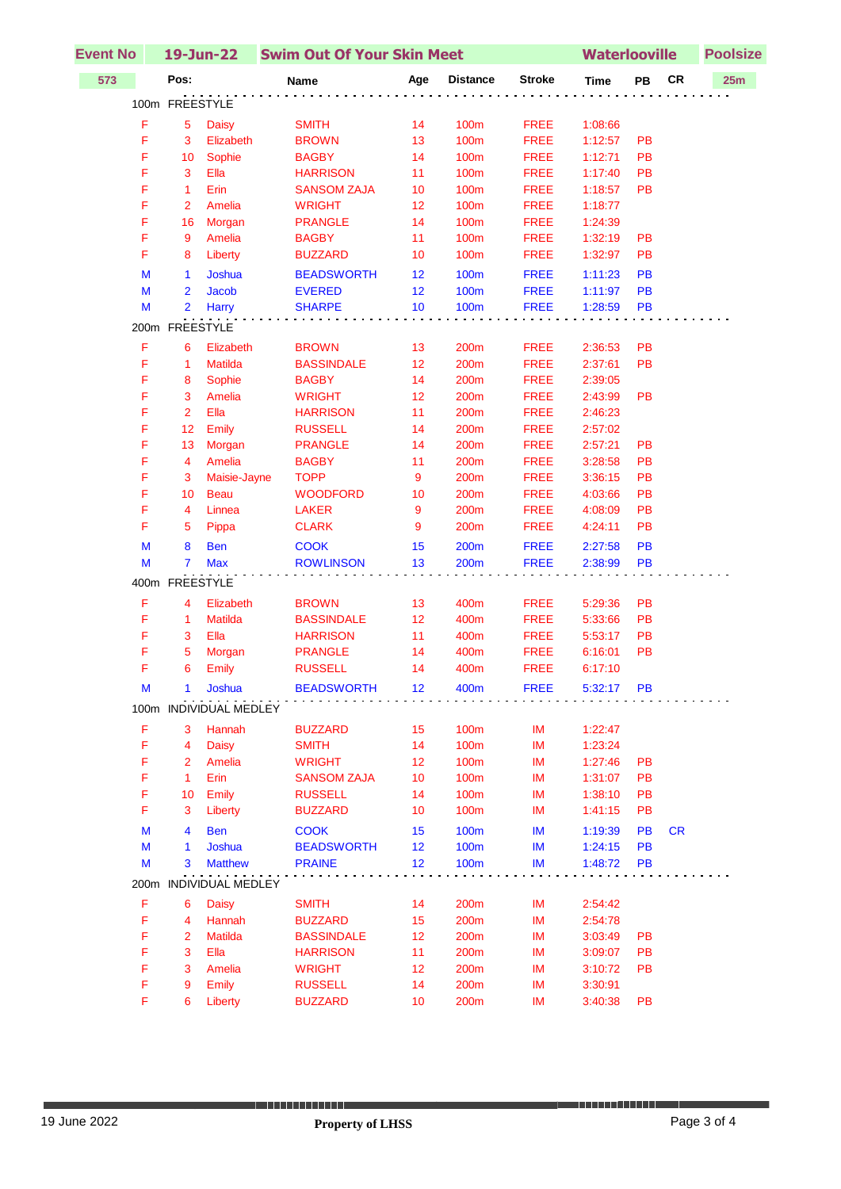| <b>Event No</b> | 19-Jun-22      |                          | <b>Swim Out Of Your Skin Meet</b> | <b>Waterlooville</b> |                 |               | <b>Poolsize</b> |           |           |     |
|-----------------|----------------|--------------------------|-----------------------------------|----------------------|-----------------|---------------|-----------------|-----------|-----------|-----|
| 573             | Pos:           |                          | Name                              | Age                  | <b>Distance</b> | <b>Stroke</b> | <b>Time</b>     | PB        | <b>CR</b> | 25m |
|                 | 100m FREESTYLE |                          |                                   |                      |                 |               |                 |           |           |     |
| F               | 5              | <b>Daisy</b>             | <b>SMITH</b>                      | 14                   | <b>100m</b>     | <b>FREE</b>   | 1:08:66         |           |           |     |
| F               | 3              | Elizabeth                | <b>BROWN</b>                      | 13                   | <b>100m</b>     | <b>FREE</b>   | 1:12:57         | PB        |           |     |
| F               | 10             | Sophie                   | <b>BAGBY</b>                      | 14                   | 100m            | <b>FREE</b>   | 1:12:71         | PB        |           |     |
| F               | $\mathbf{3}$   | Ella                     | <b>HARRISON</b>                   | 11                   | 100m            | <b>FREE</b>   | 1:17:40         | PB        |           |     |
| F               | $\mathbf{1}$   | Erin                     | <b>SANSOM ZAJA</b>                | 10                   | 100m            | <b>FREE</b>   | 1:18:57         | <b>PB</b> |           |     |
| F               | $\overline{2}$ | Amelia                   | <b>WRIGHT</b>                     | 12                   | 100m            | <b>FREE</b>   | 1:18:77         |           |           |     |
| F               | 16             | Morgan                   | <b>PRANGLE</b>                    | 14                   | <b>100m</b>     | <b>FREE</b>   | 1:24:39         |           |           |     |
| F               | 9              | Amelia                   | <b>BAGBY</b>                      | 11                   | 100m            | <b>FREE</b>   | 1:32:19         | PB        |           |     |
| F               | 8              | Liberty                  | <b>BUZZARD</b>                    | 10                   | 100m            | <b>FREE</b>   | 1:32:97         | PB        |           |     |
| M               | $\mathbf{1}$   | Joshua                   | <b>BEADSWORTH</b>                 | 12                   | <b>100m</b>     | <b>FREE</b>   | 1:11:23         | PB        |           |     |
| M               | $\overline{2}$ | Jacob                    | <b>EVERED</b>                     | 12                   | <b>100m</b>     | <b>FREE</b>   | 1:11:97         | PB        |           |     |
| M               | $\overline{2}$ | Harry                    | <b>SHARPE</b>                     | 10                   | 100m            | <b>FREE</b>   | 1:28:59         | PB        |           |     |
|                 | 200m FREESTYLE |                          |                                   |                      |                 |               |                 |           |           |     |
| F               | 6              | Elizabeth                | <b>BROWN</b>                      | 13                   | 200m            | <b>FREE</b>   | 2:36:53         | PB        |           |     |
| F               | 1              | Matilda                  | <b>BASSINDALE</b>                 | 12                   | 200m            | <b>FREE</b>   | 2:37:61         | PB        |           |     |
| F               | 8              | Sophie                   | <b>BAGBY</b>                      | 14                   | 200m            | <b>FREE</b>   | 2:39:05         |           |           |     |
| F               | 3              | Amelia                   | <b>WRIGHT</b>                     | 12                   | 200m            | <b>FREE</b>   | 2:43:99         | <b>PB</b> |           |     |
| F               | $\overline{2}$ | Ella                     | <b>HARRISON</b>                   | 11                   | 200m            | <b>FREE</b>   | 2:46:23         |           |           |     |
| F               | 12             | Emily                    | <b>RUSSELL</b>                    | 14                   | 200m            | <b>FREE</b>   | 2:57:02         |           |           |     |
| F               | 13             | Morgan                   | <b>PRANGLE</b>                    | 14                   | 200m            | <b>FREE</b>   | 2:57:21         | PB        |           |     |
| F               | 4              | Amelia                   | <b>BAGBY</b>                      | 11                   | 200m            | <b>FREE</b>   | 3:28:58         | PB        |           |     |
| F               | 3              | Maisie-Jayne             | <b>TOPP</b>                       | 9                    | 200m            | <b>FREE</b>   | 3:36:15         | PB        |           |     |
| F               | 10             | <b>Beau</b>              | <b>WOODFORD</b>                   | 10                   | 200m            | <b>FREE</b>   | 4:03:66         | PB        |           |     |
| F               | 4              | Linnea                   | <b>LAKER</b>                      | 9                    | 200m            | <b>FREE</b>   | 4:08:09         | PB        |           |     |
| F               | 5              | Pippa                    | <b>CLARK</b>                      | 9                    | 200m            | <b>FREE</b>   | 4:24:11         | PB        |           |     |
| M               | 8              | <b>Ben</b>               | <b>COOK</b>                       | 15                   | <b>200m</b>     | <b>FREE</b>   | 2:27:58         | PB        |           |     |
| M               | $\overline{7}$ | <b>Max</b>               | <b>ROWLINSON</b>                  | 13                   | 200m            | <b>FREE</b>   | 2:38:99         | PB        |           |     |
|                 | 400m FREESTYLE |                          |                                   |                      |                 |               |                 |           |           |     |
| F               | 4              | Elizabeth                | <b>BROWN</b>                      | 13                   | 400m            | <b>FREE</b>   | 5:29:36         | PB        |           |     |
| F               | $\mathbf{1}$   | <b>Matilda</b>           | <b>BASSINDALE</b>                 | 12                   | 400m            | <b>FREE</b>   | 5:33:66         | PB        |           |     |
| F               | 3              | Ella                     | <b>HARRISON</b>                   | 11                   | 400m            | <b>FREE</b>   | 5:53:17         | PB        |           |     |
| F               | 5              | Morgan                   | <b>PRANGLE</b>                    | 14                   | 400m            | <b>FREE</b>   | 6:16:01         | PB        |           |     |
| F               | 6              | Emily                    | <b>RUSSELL</b>                    | 14                   | 400m            | <b>FREE</b>   | 6:17:10         |           |           |     |
| M               | 1              | Joshua                   | <b>BEADSWORTH</b>                 | 12                   | 400m            | <b>FREE</b>   | 5:32:17         | <b>PB</b> |           |     |
|                 |                | 100m INDIVIDUAL MEDLEY   |                                   |                      |                 |               |                 |           |           |     |
| F               | 3              | Hannah                   | <b>BUZZARD</b>                    | 15                   | 100m            | IM            | 1:22:47         |           |           |     |
| F               | 4              | <b>Daisy</b>             | <b>SMITH</b>                      | 14                   | 100m            | IM            | 1:23:24         |           |           |     |
| F               | $\overline{2}$ | Amelia                   | <b>WRIGHT</b>                     | 12                   | 100m            | IM            | 1:27:46         | <b>PB</b> |           |     |
| F               | $\mathbf{1}$   | Erin                     | <b>SANSOM ZAJA</b>                | 10                   | 100m            | IM            | 1:31:07         | <b>PB</b> |           |     |
| F               | 10             | Emily                    | <b>RUSSELL</b>                    | 14                   | 100m            | IM            | 1:38:10         | PB        |           |     |
| F               | 3              | Liberty                  | <b>BUZZARD</b>                    | 10                   | 100m            | IM            | 1:41:15         | PB        |           |     |
| M               | 4              | <b>Ben</b>               | <b>COOK</b>                       | 15                   | 100m            | IM            | 1:19:39         | <b>PB</b> | <b>CR</b> |     |
| M               | 1              | Joshua                   | <b>BEADSWORTH</b>                 | 12                   | 100m            | IM            | 1:24:15         | <b>PB</b> |           |     |
| M               | 3              | <b>Matthew</b>           | <b>PRAINE</b>                     | 12                   | 100m            | <b>IM</b>     | 1:48:72         | <b>PB</b> |           |     |
| 200m            |                | <b>INDIVIDUAL MEDLEY</b> |                                   |                      |                 |               |                 |           |           |     |
| F               | 6              | <b>Daisy</b>             | <b>SMITH</b>                      | 14                   | 200m            | IM            | 2:54:42         |           |           |     |
| F               | 4              | Hannah                   | <b>BUZZARD</b>                    | 15                   | 200m            | IM            | 2:54:78         |           |           |     |
| F               | $\overline{2}$ | <b>Matilda</b>           | <b>BASSINDALE</b>                 | 12                   | 200m            | IM            | 3:03:49         | <b>PB</b> |           |     |
| F               | $\mathbf{3}$   | Ella                     | <b>HARRISON</b>                   | 11                   | 200m            | IM            | 3:09:07         | PB        |           |     |
| F               | 3              | Amelia                   | <b>WRIGHT</b>                     | 12                   | 200m            | IM            | 3:10:72         | <b>PB</b> |           |     |
| F               | 9              | Emily                    | <b>RUSSELL</b>                    | 14                   | 200m            | IM            | 3:30:91         |           |           |     |
| F               | 6              | Liberty                  | <b>BUZZARD</b>                    | 10                   | 200m            | IM            | 3:40:38         | PB        |           |     |